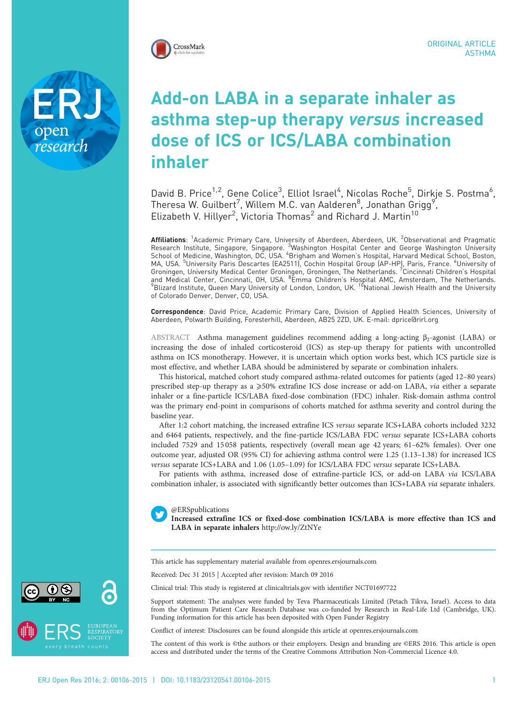

# Add-on LABA in a separate inhaler as asthma step-up therapy versus increased dose of ICS or ICS/LABA combination inhaler

David B. Price<sup>1,2</sup>, Gene Colice<sup>3</sup>, Elliot Israel<sup>4</sup>, Nicolas Roche<sup>5</sup>, Dirkje S. Postma<sup>6</sup>, Theresa W. Guilbert<sup>7</sup>, Willem M.C. van Aalderen<sup>8</sup>, Jonathan Grigg<sup>9</sup>, Elizabeth V. Hillyer<sup>2</sup>, Victoria Thomas<sup>2</sup> and Richard J. Martin<sup>10</sup>

Affiliations: <sup>1</sup>Academic Primary Care, University of Aberdeen, Aberdeen, UK. <sup>2</sup>Observational and Pragmatic Research Institute, Singapore, Singapore. <sup>3</sup>Washington Hospital Center and George Washington University<br>School of Medicine, Washington, DC, USA. <sup>4</sup>Brigham and Women's Hospital, Harvard Medical School, Boston, MA, USA. <sup>5</sup>University Paris Descartes (EA2511), Cochin Hospital Group (AP-HP), Paris, France. <sup>6</sup>University of Groningen, University Medical Center Groningen, Groningen, The Netherlands. <sup>7</sup> Cincinnati Children's Hospital and Medical Center, Cincinnati, OH, USA. <sup>8</sup>Emma Children's Hospital AMC, Amsterdam, The Netherlands.<br><sup>9</sup>Blizard Institute, Queen Mary University of London, London, UK. <sup>10</sup>National Jewish Health and the University <sup>9</sup>Blizard Institute, Queen Mary University of London, London, UK. <sup>10</sup>National Jewish Health and the University of Colorado Denver, Denver, CO, USA.

Correspondence: David Price, Academic Primary Care, Division of Applied Health Sciences, University of Aberdeen, Polwarth Building, Foresterhill, Aberdeen, AB25 2ZD, UK. E-mail: [dprice@rirl.org](mailto:dprice@rirl.org)

ABSTRACT Asthma management guidelines recommend adding a long-acting  $β_2$ -agonist (LABA) or increasing the dose of inhaled corticosteroid (ICS) as step-up therapy for patients with uncontrolled asthma on ICS monotherapy. However, it is uncertain which option works best, which ICS particle size is most effective, and whether LABA should be administered by separate or combination inhalers.

This historical, matched cohort study compared asthma-related outcomes for patients (aged 12–80 years) prescribed step-up therapy as a ≥50% extrafine ICS dose increase or add-on LABA, *via* either a separate inhaler or a fine-particle ICS/LABA fixed-dose combination (FDC) inhaler. Risk-domain asthma control was the primary end-point in comparisons of cohorts matched for asthma severity and control during the baseline year.

After 1:2 cohort matching, the increased extrafine ICS versus separate ICS+LABA cohorts included 3232 and 6464 patients, respectively, and the fine-particle ICS/LABA FDC versus separate ICS+LABA cohorts included 7529 and 15 058 patients, respectively (overall mean age 42 years; 61–62% females). Over one outcome year, adjusted OR (95% CI) for achieving asthma control were 1.25 (1.13–1.38) for increased ICS versus separate ICS+LABA and 1.06 (1.05–1.09) for ICS/LABA FDC versus separate ICS+LABA.

For patients with asthma, increased dose of extrafine-particle ICS, or add-on LABA via ICS/LABA combination inhaler, is associated with significantly better outcomes than ICS+LABA via separate inhalers.

@ERSpublications

Increased extrafine ICS or fixed-dose combination ICS/LABA is more effective than ICS and LABA in separate inhalers <http://ow.ly/ZtNYe>

This article has supplementary material available from<openres.ersjournals.com>

Received: Dec 31 2015 | Accepted after revision: March 09 2016

Clinical trial: This study is registered at [clinicaltrials.gov](http://clinicaltrials.gov/) with identifier NCT01697722

Support statement: The analyses were funded by Teva Pharmaceuticals Limited (Petach Tikva, Israel). Access to data from the Optimum Patient Care Research Database was co-funded by Research in Real-Life Ltd (Cambridge, UK). Funding information for this article has been deposited with [Open Funder Registry](http://www.crossref.org/fundingdata/)

Conflict of interest: Disclosures can be found alongside this article at<openres.ersjournals.com>

The content of this work is ©the authors or their employers. Design and branding are ©ERS 2016. This article is open access and distributed under the terms of the Creative Commons Attribution Non-Commercial Licence 4.0.



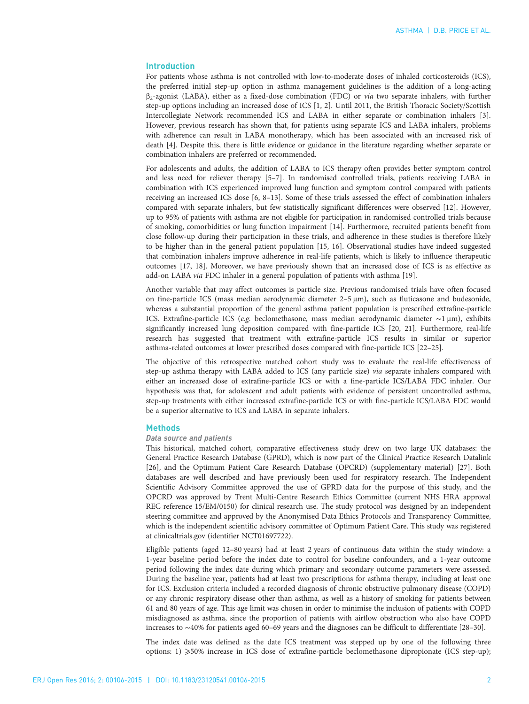# Introduction

For patients whose asthma is not controlled with low-to-moderate doses of inhaled corticosteroids (ICS), the preferred initial step-up option in asthma management guidelines is the addition of a long-acting  $\beta_2$ -agonist (LABA), either as a fixed-dose combination (FDC) or *via* two separate inhalers, with further step-up options including an increased dose of ICS [\[1, 2\]](#page-8-0). Until 2011, the British Thoracic Society/Scottish Intercollegiate Network recommended ICS and LABA in either separate or combination inhalers [\[3\]](#page-8-0). However, previous research has shown that, for patients using separate ICS and LABA inhalers, problems with adherence can result in LABA monotherapy, which has been associated with an increased risk of death [\[4\]](#page-8-0). Despite this, there is little evidence or guidance in the literature regarding whether separate or combination inhalers are preferred or recommended.

For adolescents and adults, the addition of LABA to ICS therapy often provides better symptom control and less need for reliever therapy [[5](#page-8-0)–[7\]](#page-8-0). In randomised controlled trials, patients receiving LABA in combination with ICS experienced improved lung function and symptom control compared with patients receiving an increased ICS dose [[6, 8](#page-8-0)–[13](#page-8-0)]. Some of these trials assessed the effect of combination inhalers compared with separate inhalers, but few statistically significant differences were observed [[12\]](#page-8-0). However, up to 95% of patients with asthma are not eligible for participation in randomised controlled trials because of smoking, comorbidities or lung function impairment [\[14](#page-8-0)]. Furthermore, recruited patients benefit from close follow-up during their participation in these trials, and adherence in these studies is therefore likely to be higher than in the general patient population [[15](#page-8-0), [16](#page-8-0)]. Observational studies have indeed suggested that combination inhalers improve adherence in real-life patients, which is likely to influence therapeutic outcomes [[17](#page-8-0), [18](#page-8-0)]. Moreover, we have previously shown that an increased dose of ICS is as effective as add-on LABA via FDC inhaler in a general population of patients with asthma [\[19\]](#page-8-0).

Another variable that may affect outcomes is particle size. Previous randomised trials have often focused on fine-particle ICS (mass median aerodynamic diameter 2–5 μm), such as fluticasone and budesonide, whereas a substantial proportion of the general asthma patient population is prescribed extrafine-particle ICS. Extrafine-particle ICS (e.g. beclomethasone, mass median aerodynamic diameter ∼1 μm), exhibits significantly increased lung deposition compared with fine-particle ICS [[20](#page-8-0), [21](#page-8-0)]. Furthermore, real-life research has suggested that treatment with extrafine-particle ICS results in similar or superior asthma-related outcomes at lower prescribed doses compared with fine-particle ICS [[22](#page-8-0)–[25](#page-8-0)].

The objective of this retrospective matched cohort study was to evaluate the real-life effectiveness of step-up asthma therapy with LABA added to ICS (any particle size) via separate inhalers compared with either an increased dose of extrafine-particle ICS or with a fine-particle ICS/LABA FDC inhaler. Our hypothesis was that, for adolescent and adult patients with evidence of persistent uncontrolled asthma, step-up treatments with either increased extrafine-particle ICS or with fine-particle ICS/LABA FDC would be a superior alternative to ICS and LABA in separate inhalers.

#### **Methods**

#### Data source and patients

This historical, matched cohort, comparative effectiveness study drew on two large UK databases: the General Practice Research Database (GPRD), which is now part of the Clinical Practice Research Datalink [[26](#page-9-0)], and the Optimum Patient Care Research Database (OPCRD) (supplementary material) [[27\]](#page-9-0). Both databases are well described and have previously been used for respiratory research. The Independent Scientific Advisory Committee approved the use of GPRD data for the purpose of this study, and the OPCRD was approved by Trent Multi-Centre Research Ethics Committee (current NHS HRA approval REC reference 15/EM/0150) for clinical research use. The study protocol was designed by an independent steering committee and approved by the Anonymised Data Ethics Protocols and Transparency Committee, which is the independent scientific advisory committee of Optimum Patient Care. This study was registered at [clinicaltrials.gov](http://clinicaltrials.gov/) (identifier NCT01697722).

Eligible patients (aged 12–80 years) had at least 2 years of continuous data within the study window: a 1-year baseline period before the index date to control for baseline confounders, and a 1-year outcome period following the index date during which primary and secondary outcome parameters were assessed. During the baseline year, patients had at least two prescriptions for asthma therapy, including at least one for ICS. Exclusion criteria included a recorded diagnosis of chronic obstructive pulmonary disease (COPD) or any chronic respiratory disease other than asthma, as well as a history of smoking for patients between 61 and 80 years of age. This age limit was chosen in order to minimise the inclusion of patients with COPD misdiagnosed as asthma, since the proportion of patients with airflow obstruction who also have COPD increases to ∼40% for patients aged 60–69 years and the diagnoses can be difficult to differentiate [\[28](#page-9-0)–[30\]](#page-9-0).

The index date was defined as the date ICS treatment was stepped up by one of the following three options: 1) ⩾50% increase in ICS dose of extrafine-particle beclomethasone dipropionate (ICS step-up);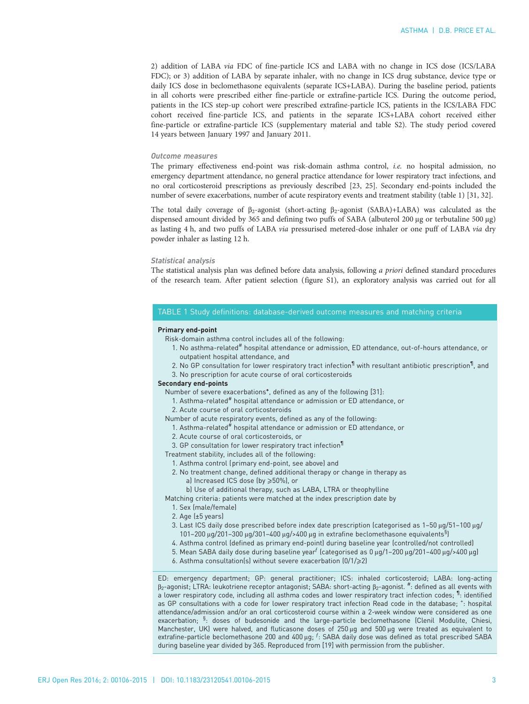<span id="page-2-0"></span>2) addition of LABA via FDC of fine-particle ICS and LABA with no change in ICS dose (ICS/LABA FDC); or 3) addition of LABA by separate inhaler, with no change in ICS drug substance, device type or daily ICS dose in beclomethasone equivalents (separate ICS+LABA). During the baseline period, patients in all cohorts were prescribed either fine-particle or extrafine-particle ICS. During the outcome period, patients in the ICS step-up cohort were prescribed extrafine-particle ICS, patients in the ICS/LABA FDC cohort received fine-particle ICS, and patients in the separate ICS+LABA cohort received either fine-particle or extrafine-particle ICS (supplementary material and table S2). The study period covered 14 years between January 1997 and January 2011.

#### Outcome measures

The primary effectiveness end-point was risk-domain asthma control, i.e. no hospital admission, no emergency department attendance, no general practice attendance for lower respiratory tract infections, and no oral corticosteroid prescriptions as previously described [[23](#page-8-0), [25\]](#page-8-0). Secondary end-points included the number of severe exacerbations, number of acute respiratory events and treatment stability (table 1) [[31](#page-9-0), [32](#page-9-0)].

The total daily coverage of  $\beta_2$ -agonist (short-acting  $\beta_2$ -agonist (SABA)+LABA) was calculated as the dispensed amount divided by 365 and defining two puffs of SABA (albuterol 200 μg or terbutaline 500 μg) as lasting 4 h, and two puffs of LABA via pressurised metered-dose inhaler or one puff of LABA via dry powder inhaler as lasting 12 h.

#### Statistical analysis

The statistical analysis plan was defined before data analysis, following a priori defined standard procedures of the research team. After patient selection (figure S1), an exploratory analysis was carried out for all

#### TABLE 1 Study definitions: database-derived outcome measures and matching criteria

#### Primary end-point

Risk-domain asthma control includes all of the following:

- 1. No asthma-related# hospital attendance or admission, ED attendance, out-of-hours attendance, or outpatient hospital attendance, and
- 2. No GP consultation for lower respiratory tract infection<sup>¶</sup> with resultant antibiotic prescription<sup>¶</sup>, and
- 3. No prescription for acute course of oral corticosteroids

## Secondary end-points

- Number of severe exacerbations<sup>+</sup>, defined as any of the following [31]:
	- 1. Asthma-related<sup>#</sup> hospital attendance or admission or ED attendance, or
	- 2. Acute course of oral corticosteroids
- Number of acute respiratory events, defined as any of the following:
	- 1. Asthma-related<sup>#</sup> hospital attendance or admission or ED attendance, or
	- 2. Acute course of oral corticosteroids, or
	- 3. GP consultation for lower respiratory tract infection¶
- Treatment stability, includes all of the following:
	- 1. Asthma control (primary end-point, see above) and
	- 2. No treatment change, defined additional therapy or change in therapy as
		- a) Increased ICS dose (by ≥50%), or
		- b) Use of additional therapy, such as LABA, LTRA or theophylline

Matching criteria: patients were matched at the index prescription date by

- 1. Sex (male/female)
- 2. Age (±5 years)
- 3. Last ICS daily dose prescribed before index date prescription (categorised as 1–50 μg/51–100 μg/ 101-200 μg/201-300 μg/301-400 μg/>400 μg in extrafine beclomethasone equivalents<sup>§</sup>)
- 4. Asthma control (defined as primary end-point) during baseline year (controlled/not controlled)
- 5. Mean SABA daily dose during baseline year<sup> $f$ </sup> (categorised as 0 μg/1–200 μg/201–400 μg/>400 μg)
- 6. Asthma consultation(s) without severe exacerbation  $[0/1/\geq 2]$

ED: emergency department; GP: general practitioner; ICS: inhaled corticosteroid; LABA: long-acting  $β_2$ -agonist; LTRA: leukotriene receptor antagonist; SABA: short-acting  $β_2$ -agonist.  $\overset{\#}{=}$ : defined as all events with a lower respiratory code, including all asthma codes and lower respiratory tract infection codes; 1: identified as GP consultations with a code for lower respiratory tract infection Read code in the database; \*: hospital attendance/admission and/or an oral corticosteroid course within a 2-week window were considered as one exacerbation; <sup>§</sup>: doses of budesonide and the large-particle beclomethasone (Clenil Modulite, Chiesi, Manchester, UK) were halved, and fluticasone doses of 250 μg and 500 μg were treated as equivalent to extrafine-particle beclomethasone 200 and 400 μg; <sup>f</sup>: SABA daily dose was defined as total prescribed SABA during baseline year divided by 365. Reproduced from [19] with permission from the publisher.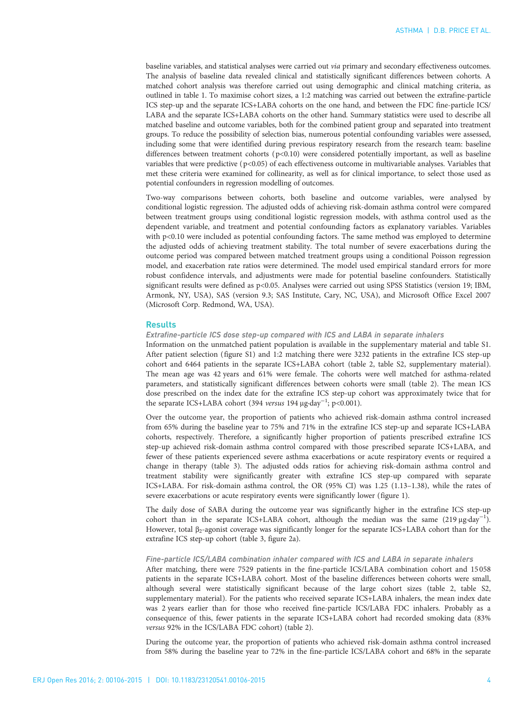baseline variables, and statistical analyses were carried out via primary and secondary effectiveness outcomes. The analysis of baseline data revealed clinical and statistically significant differences between cohorts. A matched cohort analysis was therefore carried out using demographic and clinical matching criteria, as outlined in [table 1.](#page-2-0) To maximise cohort sizes, a 1:2 matching was carried out between the extrafine-particle ICS step-up and the separate ICS+LABA cohorts on the one hand, and between the FDC fine-particle ICS/ LABA and the separate ICS+LABA cohorts on the other hand. Summary statistics were used to describe all matched baseline and outcome variables, both for the combined patient group and separated into treatment groups. To reduce the possibility of selection bias, numerous potential confounding variables were assessed, including some that were identified during previous respiratory research from the research team: baseline differences between treatment cohorts (p<0.10) were considered potentially important, as well as baseline variables that were predictive ( $p<0.05$ ) of each effectiveness outcome in multivariable analyses. Variables that met these criteria were examined for collinearity, as well as for clinical importance, to select those used as potential confounders in regression modelling of outcomes.

Two-way comparisons between cohorts, both baseline and outcome variables, were analysed by conditional logistic regression. The adjusted odds of achieving risk-domain asthma control were compared between treatment groups using conditional logistic regression models, with asthma control used as the dependent variable, and treatment and potential confounding factors as explanatory variables. Variables with p<0.10 were included as potential confounding factors. The same method was employed to determine the adjusted odds of achieving treatment stability. The total number of severe exacerbations during the outcome period was compared between matched treatment groups using a conditional Poisson regression model, and exacerbation rate ratios were determined. The model used empirical standard errors for more robust confidence intervals, and adjustments were made for potential baseline confounders. Statistically significant results were defined as p<0.05. Analyses were carried out using SPSS Statistics (version 19; IBM, Armonk, NY, USA), SAS (version 9.3; SAS Institute, Cary, NC, USA), and Microsoft Office Excel 2007 (Microsoft Corp. Redmond, WA, USA).

## Results

#### Extrafine-particle ICS dose step-up compared with ICS and LABA in separate inhalers

Information on the unmatched patient population is available in the supplementary material and table S1. After patient selection (figure S1) and 1:2 matching there were 3232 patients in the extrafine ICS step-up cohort and 6464 patients in the separate ICS+LABA cohort [\(table 2](#page-4-0), table S2, supplementary material). The mean age was 42 years and 61% were female. The cohorts were well matched for asthma-related parameters, and statistically significant differences between cohorts were small ([table 2](#page-4-0)). The mean ICS dose prescribed on the index date for the extrafine ICS step-up cohort was approximately twice that for the separate ICS+LABA cohort (394 versus 194 μg·day<sup>-1</sup>; p<0.001).

Over the outcome year, the proportion of patients who achieved risk-domain asthma control increased from 65% during the baseline year to 75% and 71% in the extrafine ICS step-up and separate ICS+LABA cohorts, respectively. Therefore, a significantly higher proportion of patients prescribed extrafine ICS step-up achieved risk-domain asthma control compared with those prescribed separate ICS+LABA, and fewer of these patients experienced severe asthma exacerbations or acute respiratory events or required a change in therapy [\(table 3](#page-5-0)). The adjusted odds ratios for achieving risk-domain asthma control and treatment stability were significantly greater with extrafine ICS step-up compared with separate ICS+LABA. For risk-domain asthma control, the OR (95% CI) was 1.25 (1.13–1.38), while the rates of severe exacerbations or acute respiratory events were significantly lower [\(figure 1](#page-6-0)).

The daily dose of SABA during the outcome year was significantly higher in the extrafine ICS step-up cohort than in the separate ICS+LABA cohort, although the median was the same (219 μg·day<sup>-1</sup>). However, total β2-agonist coverage was significantly longer for the separate ICS+LABA cohort than for the extrafine ICS step-up cohort [\(table 3](#page-5-0), [figure 2a](#page-6-0)).

# Fine-particle ICS/LABA combination inhaler compared with ICS and LABA in separate inhalers

After matching, there were 7529 patients in the fine-particle ICS/LABA combination cohort and 15 058 patients in the separate ICS+LABA cohort. Most of the baseline differences between cohorts were small, although several were statistically significant because of the large cohort sizes ([table 2](#page-4-0), table S2, supplementary material). For the patients who received separate ICS+LABA inhalers, the mean index date was 2 years earlier than for those who received fine-particle ICS/LABA FDC inhalers. Probably as a consequence of this, fewer patients in the separate ICS+LABA cohort had recorded smoking data (83% versus 92% in the ICS/LABA FDC cohort) ([table 2\)](#page-4-0).

During the outcome year, the proportion of patients who achieved risk-domain asthma control increased from 58% during the baseline year to 72% in the fine-particle ICS/LABA cohort and 68% in the separate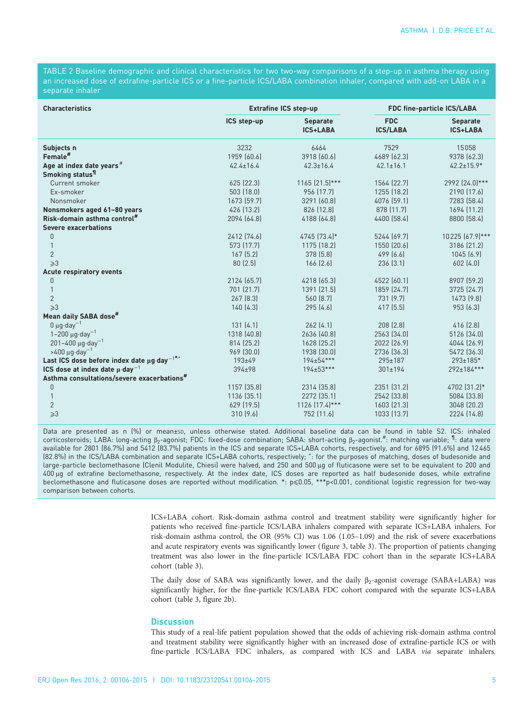<span id="page-4-0"></span>TABLE 2 Baseline demographic and clinical characteristics for two two-way comparisons of a step-up in asthma therapy using an increased dose of extrafine-particle ICS or a fine-particle ICS/LABA combination inhaler, compared with add-on LABA in a separate inhaler

| <b>Characteristics</b>                                     |                 | <b>Extrafine ICS step-up</b>       | <b>FDC fine-particle ICS/LABA</b> |                                    |  |
|------------------------------------------------------------|-----------------|------------------------------------|-----------------------------------|------------------------------------|--|
|                                                            | ICS step-up     | <b>Separate</b><br><b>ICS+LABA</b> | <b>FDC</b><br><b>ICS/LABA</b>     | <b>Separate</b><br><b>ICS+LABA</b> |  |
| Subjects n                                                 | 3232            | 6464                               | 7529                              | 15058                              |  |
| Female <sup>#</sup>                                        | 1959 (60.6)     | 3918 [60.6]                        | 4689 [62.3]                       | 9378 (62.3)                        |  |
| Age at index date years <sup>#</sup>                       | $42.4 \pm 16.4$ | $42.3 \pm 16.4$                    | $42.1 \pm 16.1$                   | $42.2 \pm 15.9*$                   |  |
| Smoking status <sup>11</sup>                               |                 |                                    |                                   |                                    |  |
| Current smoker                                             | 625 (22.3)      | $1165$ $(21.5)***$                 | 1564 (22.7)                       | 2992 (24.0) ***                    |  |
| Ex-smoker                                                  | 503 (18.0)      | 956 (17.7)                         | 1255 (18.2)                       | 2190 (17.6)                        |  |
| Nonsmoker                                                  | 1673 (59.7)     | 3291 (60.8)                        | 4076 (59.1)                       | 7283 (58.4)                        |  |
| Nonsmokers aged 61-80 years                                | 426 (13.2)      | 826 (12.8)                         | 878 (11.7)                        | 1694 (11.2)                        |  |
| Risk-domain asthma control#                                | 2094 (64.8)     | 4188 (64.8)                        | 4400 (58.4)                       | 8800 (58.4)                        |  |
| <b>Severe exacerbations</b>                                |                 |                                    |                                   |                                    |  |
| 0                                                          | 2412 (74.6)     | 4745 (73.4)*                       | 5244 (69.7)                       | 10225 (67.9)***                    |  |
| $\mathbf{1}$                                               | 573 (17.7)      | 1175 (18.2)                        | 1550 (20.6)                       | 3186 (21.2)                        |  |
| $\overline{2}$                                             | 167(5.2)        | 378 (5.8)                          | 499 [6.6]                         | 1045 (6.9)                         |  |
| $\geqslant$ 3                                              | 80(2.5)         | $166$ $(2.6)$                      | 236(3.1)                          | 602(4.0)                           |  |
| <b>Acute respiratory events</b>                            |                 |                                    |                                   |                                    |  |
| $\theta$                                                   | 2124 (65.7)     | 4218 (65.3)                        | 4522 (60.1)                       | 8907 (59.2)                        |  |
| $\mathbf{1}$                                               | 701 (21.7)      | 1391 (21.5)                        | 1859 (24.7)                       | 3725 (24.7)                        |  |
| $\overline{2}$                                             | 267(8.3)        | 560 (8.7)                          | 731 (9.7)                         | 1473 [9.8]                         |  |
| $\geqslant$ 3                                              | 140(4.3)        | 295(4.6)                           | 417(5.5)                          | 953 (6.3)                          |  |
| Mean daily SABA dose#                                      |                 |                                    |                                   |                                    |  |
| $0 \mu g \cdot day^{-1}$                                   | 131(4.1)        | 262(4.1)                           | 208 (2.8)                         | 416 (2.8)                          |  |
| $1 - 200 \mu g \cdot day^{-1}$                             | 1318 (40.8)     | 2636 (40.8)                        | 2563 (34.0)                       | 5126 (34.0)                        |  |
| $201 - 400 \mu g \cdot day^{-1}$                           | 814 (25.2)      | 1628 (25.2)                        | 2022 (26.9)                       | 4044 (26.9)                        |  |
| $>400 \mu g \cdot day^{-1}$                                | 969 (30.0)      | 1938 (30.0)                        | 2736 (36.3)                       | 5472 (36.3)                        |  |
| Last ICS dose before index date $\mu$ g day <sup>-1*</sup> | $193 + 49$      | 194±54***                          | 295±187                           | 293±185*                           |  |
| ICS dose at index date $\mu$ day <sup>-1</sup>             | $394 + 98$      | 194±53***                          | $301 \pm 194$                     | 292±184***                         |  |
| Asthma consultations/severe exacerbations <sup>#</sup>     |                 |                                    |                                   |                                    |  |
| $\theta$                                                   | 1157 (35.8)     | 2314 (35.8)                        | 2351 (31.2)                       | 4702 (31.2)*                       |  |
| $\mathbf{1}$                                               | 1136 (35.1)     | 2272 (35.1)                        | 2542 (33.8)                       | 5084 (33.8)                        |  |
| $\overline{2}$                                             | 629 (19.5)      | 1126 (17.4)***                     | 1603 (21.3)                       | 3048 (20.2)                        |  |
| $\geqslant$ 3                                              | 310(9.6)        | 752 (11.6)                         | 1033 (13.7)                       | 2224 (14.8)                        |  |

Data are presented as n (%) or mean±sp, unless otherwise stated. Additional baseline data can be found in table S2. ICS: inhaled corticosteroids; LABA: long-acting β<sub>2</sub>-agonist; FDC: fixed-dose combination; SABA: short-acting β<sub>2</sub>-agonist.<sup>#</sup>: matching variable; <sup>¶</sup>: data were available for 2801 (86.7%) and 5412 (83.7%) patients in the ICS and separate ICS+LABA cohorts, respectively, and for 6895 (91.6%) and 12 465 (82.8%) in the ICS/LABA combination and separate ICS+LABA cohorts, respectively; <sup>+</sup> : for the purposes of matching, doses of budesonide and large-particle beclomethasone (Clenil Modulite, Chiesi) were halved, and 250 and 500 μg of fluticasone were set to be equivalent to 200 and 400 μg of extrafine beclomethasone, respectively. At the index date, ICS doses are reported as half budesonide doses, while extrafine beclomethasone and fluticasone doses are reported without modification. \*: p≤0.05, \*\*\*p<0.001, conditional logistic regression for two-way comparison between cohorts.

> ICS+LABA cohort. Risk-domain asthma control and treatment stability were significantly higher for patients who received fine-particle ICS/LABA inhalers compared with separate ICS+LABA inhalers. For risk-domain asthma control, the OR (95% CI) was 1.06 (1.05–1.09) and the risk of severe exacerbations and acute respiratory events was significantly lower [\(figure 3,](#page-7-0) [table 3\)](#page-5-0). The proportion of patients changing treatment was also lower in the fine-particle ICS/LABA FDC cohort than in the separate ICS+LABA cohort ([table 3](#page-5-0)).

> The daily dose of SABA was significantly lower, and the daily β<sub>2</sub>-agonist coverage (SABA+LABA) was significantly higher, for the fine-particle ICS/LABA FDC cohort compared with the separate ICS+LABA cohort ([table 3](#page-5-0), [figure 2b\)](#page-6-0).

# **Discussion**

This study of a real-life patient population showed that the odds of achieving risk-domain asthma control and treatment stability were significantly higher with an increased dose of extrafine-particle ICS or with fine-particle ICS/LABA FDC inhalers, as compared with ICS and LABA via separate inhalers.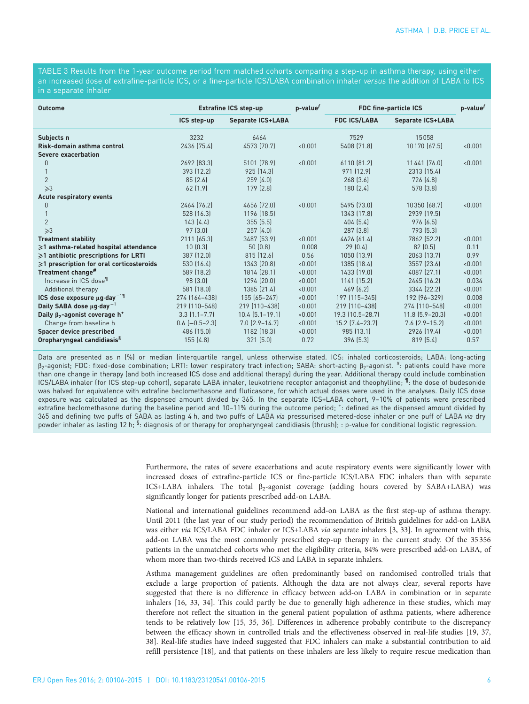<span id="page-5-0"></span>TABLE 3 Results from the 1-year outcome period from matched cohorts comparing a step-up in asthma therapy, using either an increased dose of extrafine-particle ICS, or a fine-particle ICS/LABA combination inhaler versus the addition of LABA to ICS in a separate inhaler

| <b>Outcome</b>                                      | <b>Extrafine ICS step-up</b> |                       | $p$ -value $^t$ | <b>FDC fine-particle ICS</b> |                       | $p$ -value $^f$ |
|-----------------------------------------------------|------------------------------|-----------------------|-----------------|------------------------------|-----------------------|-----------------|
|                                                     | ICS step-up                  | Separate ICS+LABA     |                 | <b>FDC ICS/LABA</b>          | Separate ICS+LABA     |                 |
| Subjects n                                          | 3232                         | 6464                  |                 | 7529                         | 15058                 |                 |
| Risk-domain asthma control                          | 2436 [75.4]                  | 4573 (70.7)           | < 0.001         | 5408 [71.8]                  | 10170 [67.5]          | < 0.001         |
| Severe exacerbation                                 |                              |                       |                 |                              |                       |                 |
| 0                                                   | 2692 [83.3]                  | 5101 (78.9)           | < 0.001         | 6110 (81.2)                  | 11441 [76.0]          | < 0.001         |
|                                                     | 393 (12.2)                   | 925 (14.3)            |                 | 971 [12.9]                   | 2313 (15.4)           |                 |
| $\overline{2}$                                      | 85 (2.6)                     | 259 (4.0)             |                 | $268$ $[3.6]$                | 726 (4.8)             |                 |
| $\geq 3$                                            | $62$ $(1.9)$                 | 179 (2.8)             |                 | 180(2.4)                     | 578 (3.8)             |                 |
| <b>Acute respiratory events</b>                     |                              |                       |                 |                              |                       |                 |
| 0                                                   | 2464 [76.2]                  | 4656 [72.0]           | < 0.001         | 5495 [73.0]                  | 10350 (68.7)          | < 0.001         |
|                                                     | 528 (16.3)                   | 1196 (18.5)           |                 | 1343 [17.8]                  | 2939 [19.5]           |                 |
| $\overline{2}$                                      | 143(4.4)                     | 355(5.5)              |                 | 404(5.4)                     | 976 [6.5]             |                 |
| $\geqslant$ 3                                       | 97(3.0)                      | 257(4.0)              |                 | 287 (3.8)                    | 793 (5.3)             |                 |
| <b>Treatment stability</b>                          | 2111 (65.3)                  | 3487 [53.9]           | < 0.001         | 4626 [61.4]                  | 7862 [52.2]           | < 0.001         |
| $\geqslant$ 1 asthma-related hospital attendance    | 10(0.3)                      | 50(0.8)               | 0.008           | 29[0.4]                      | 82 [0.5]              | 0.11            |
| $\geq 1$ antibiotic prescriptions for LRTI          | 387 (12.0)                   | 815 (12.6)            | 0.56            | 1050 (13.9)                  | 2063 (13.7)           | 0.99            |
| $\geqslant$ 1 prescription for oral corticosteroids | 530 (16.4)                   | 1343 (20.8)           | < 0.001         | 1385 (18.4)                  | 3557 (23.6)           | < 0.001         |
| Treatment change <sup>#</sup>                       | 589 (18.2)                   | 1814 (28.1)           | < 0.001         | 1433 [19.0]                  | 4087 (27.1)           | < 0.001         |
| Increase in ICS dose <sup>11</sup>                  | 98 (3.0)                     | 1294 (20.0)           | < 0.001         | 1141 (15.2)                  | 2445 (16.2)           | 0.034           |
| Additional therapy                                  | 581 (18.0)                   | 1385 (21.4)           | < 0.001         | 469[6.2]                     | 3344 (22.2)           | < 0.001         |
| ICS dose exposure $\mu$ g day <sup>-11</sup>        | 274 (164-438)                | 155 (65-247)          | < 0.001         | 197 [115-345]                | 192 (96-329)          | 0.008           |
| Daily SABA dose $\mu$ g day $^{-1}$                 | 219 (110-548)                | 219 [110-438]         | < 0.001         | 219 (110-438)                | 274 [110-548]         | < 0.001         |
| Daily $\beta_2$ -agonist coverage h <sup>+</sup>    | $3.3$ $(1.1 - 7.7)$          | $10.4$ $(5.1 - 19.1)$ | < 0.001         | 19.3 (10.5-28.7)             | $11.8$ $[5.9 - 20.3]$ | < 0.001         |
| Change from baseline h                              | $0.6$ $[-0.5-2.3]$           | $7.0$ $(2.9 - 14.7)$  | < 0.001         | $15.2$ $[7.4-23.7]$          | $7.6$ $(2.9 - 15.2)$  | < 0.001         |
| Spacer device prescribed                            | 486 (15.0)                   | 1182 (18.3)           | < 0.001         | 985 [13.1]                   | 2926 (19.4)           | < 0.001         |
| Oropharyngeal candidiasis <sup>§</sup>              | 155 (4.8)                    | 321(5.0)              | 0.72            | 396 (5.3)                    | 819 (5.4)             | 0.57            |

Data are presented as n (%) or median (interquartile range), unless otherwise stated. ICS: inhaled corticosteroids; LABA: long-acting β<sub>2</sub>-agonist; FDC: fixed-dose combination; LRTI: lower respiratory tract infection; SABA: short-acting β<sub>2</sub>-agonist. <sup>#</sup>: patients could have more than one change in therapy (and both increased ICS dose and additional therapy) during the year. Additional therapy could include combination ICS/LABA inhaler (for ICS step-up cohort), separate LABA inhaler, leukotriene receptor antagonist and theophylline; 1: the dose of budesonide was halved for equivalence with extrafine beclomethasone and fluticasone, for which actual doses were used in the analyses. Daily ICS dose exposure was calculated as the dispensed amount divided by 365. In the separate ICS+LABA cohort, 9–10% of patients were prescribed extrafine beclomethasone during the baseline period and 10-11% during the outcome period; \*: defined as the dispensed amount divided by 365 and defining two puffs of SABA as lasting 4 h, and two puffs of LABA via pressurised metered-dose inhaler or one puff of LABA via dry powder inhaler as lasting 12 h;  $^{\$}$ : diagnosis of or therapy for oropharyngeal candidiasis (thrush); : p-value for conditional logistic regression.

> Furthermore, the rates of severe exacerbations and acute respiratory events were significantly lower with increased doses of extrafine-particle ICS or fine-particle ICS/LABA FDC inhalers than with separate ICS+LABA inhalers. The total  $\beta_2$ -agonist coverage (adding hours covered by SABA+LABA) was significantly longer for patients prescribed add-on LABA.

> National and international guidelines recommend add-on LABA as the first step-up of asthma therapy. Until 2011 (the last year of our study period) the recommendation of British guidelines for add-on LABA was either via ICS/LABA FDC inhaler or ICS+LABA via separate inhalers [[3,](#page-8-0) [33](#page-9-0)]. In agreement with this, add-on LABA was the most commonly prescribed step-up therapy in the current study. Of the 35 356 patients in the unmatched cohorts who met the eligibility criteria, 84% were prescribed add-on LABA, of whom more than two-thirds received ICS and LABA in separate inhalers.

> Asthma management guidelines are often predominantly based on randomised controlled trials that exclude a large proportion of patients. Although the data are not always clear, several reports have suggested that there is no difference in efficacy between add-on LABA in combination or in separate inhalers [[16](#page-8-0), [33, 34\]](#page-9-0). This could partly be due to generally high adherence in these studies, which may therefore not reflect the situation in the general patient population of asthma patients, where adherence tends to be relatively low [[15,](#page-8-0) [35](#page-9-0), [36](#page-9-0)]. Differences in adherence probably contribute to the discrepancy between the efficacy shown in controlled trials and the effectiveness observed in real-life studies [\[19,](#page-8-0) [37,](#page-9-0) [38](#page-9-0)]. Real-life studies have indeed suggested that FDC inhalers can make a substantial contribution to aid refill persistence [\[18](#page-8-0)], and that patients on these inhalers are less likely to require rescue medication than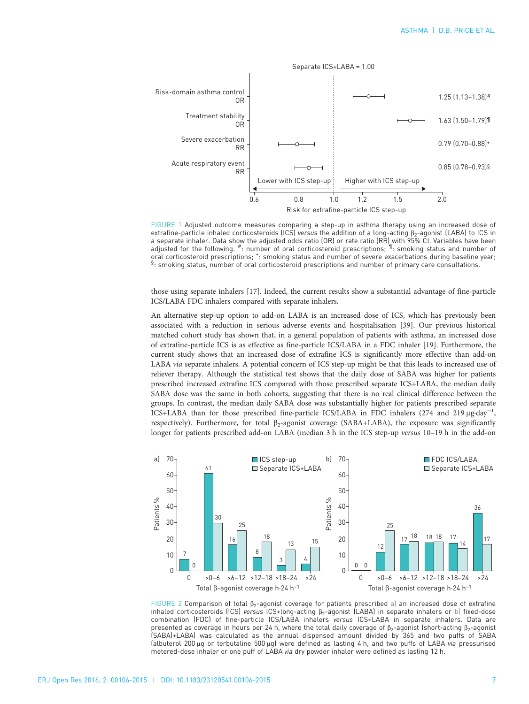<span id="page-6-0"></span>

FIGURE 1 Adjusted outcome measures comparing a step-up in asthma therapy using an increased dose of extrafine-particle inhaled corticosteroids (ICS) versus the addition of a long-acting  $\beta_2$ -agonist (LABA) to ICS in a separate inhaler. Data show the adjusted odds ratio (OR) or rate ratio (RR) with 95% CI. Variables have been adjusted for the following. <sup>#</sup>: number of oral corticosteroid prescriptions; 1: smoking status and number of oral corticosteroid prescriptions; <sup>+</sup>: smoking status and number of severe exacerbations during baseline year;<br><sup>§</sup>: smoking status, pumber of aral corticosteroid prescriptions and pumber of primary care consultations  $s<sub>i</sub>$  smoking status, number of oral corticosteroid prescriptions and number of primary care consultations.

those using separate inhalers [[17](#page-8-0)]. Indeed, the current results show a substantial advantage of fine-particle ICS/LABA FDC inhalers compared with separate inhalers.

An alternative step-up option to add-on LABA is an increased dose of ICS, which has previously been associated with a reduction in serious adverse events and hospitalisation [[39](#page-9-0)]. Our previous historical matched cohort study has shown that, in a general population of patients with asthma, an increased dose of extrafine-particle ICS is as effective as fine-particle ICS/LABA in a FDC inhaler [[19](#page-8-0)]. Furthermore, the current study shows that an increased dose of extrafine ICS is significantly more effective than add-on LABA via separate inhalers. A potential concern of ICS step-up might be that this leads to increased use of reliever therapy. Although the statistical test shows that the daily dose of SABA was higher for patients prescribed increased extrafine ICS compared with those prescribed separate ICS+LABA, the median daily SABA dose was the same in both cohorts, suggesting that there is no real clinical difference between the groups. In contrast, the median daily SABA dose was substantially higher for patients prescribed separate ICS+LABA than for those prescribed fine-particle ICS/LABA in FDC inhalers (274 and 219 μg·day<sup>-1</sup>, respectively). Furthermore, for total β<sub>2</sub>-agonist coverage (SABA+LABA), the exposure was significantly longer for patients prescribed add-on LABA (median 3 h in the ICS step-up versus 10–19 h in the add-on



FIGURE 2 Comparison of total β2-agonist coverage for patients prescribed a) an increased dose of extrafine inhaled corticosteroids (ICS) versus ICS+long-acting  $\beta_2$ -agonist (LABA) in separate inhalers or b) fixed-dose combination (FDC) of fine-particle ICS/LABA inhalers versus ICS+LABA in separate inhalers. Data are presented as coverage in hours per 24 h, where the total daily coverage of  $\beta_2$ -agonist (short-acting  $\beta_2$ -agonist (SABA)+LABA) was calculated as the annual dispensed amount divided by 365 and two puffs of SABA (albuterol 200 μg or terbutaline 500 μg) were defined as lasting 4 h, and two puffs of LABA via pressurised metered-dose inhaler or one puff of LABA via dry powder inhaler were defined as lasting 12 h.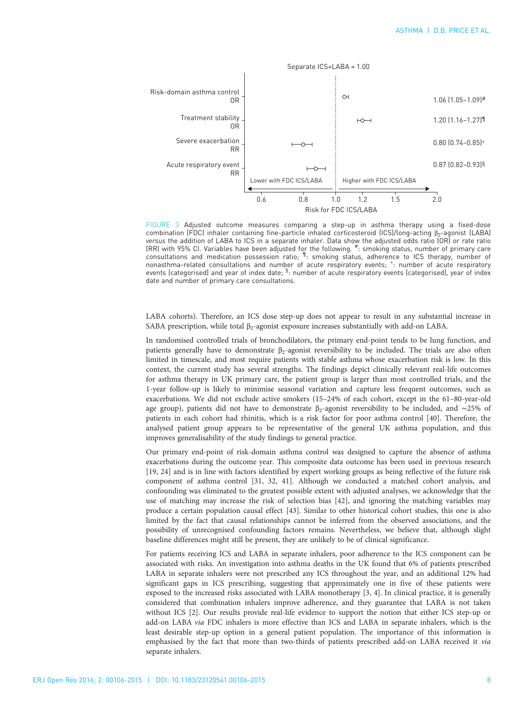<span id="page-7-0"></span>

FIGURE 3 Adjusted outcome measures comparing a step-up in asthma therapy using a fixed-dose combination (FDC) inhaler containing fine-particle inhaled corticosteroid (ICS)/long-acting β2-agonist (LABA) versus the addition of LABA to ICS in a separate inhaler. Data show the adjusted odds ratio (OR) or rate ratio (RR) with 95% CI. Variables have been adjusted for the following. <sup>#</sup>: smoking status, number of primary care<br>consultations and medication possession ratio; <sup>¶</sup>: smoking status, adherence to ICS therapy, number of nonasthma-related consultations and number of acute respiratory events; \*: number of acute respiratory events (categorised) and year of index date; <sup>§</sup>: number of acute respiratory events (categorised), year of index date and number of primary care consultations.

LABA cohorts). Therefore, an ICS dose step-up does not appear to result in any substantial increase in SABA prescription, while total  $\beta_2$ -agonist exposure increases substantially with add-on LABA.

In randomised controlled trials of bronchodilators, the primary end-point tends to be lung function, and patients generally have to demonstrate  $\beta_2$ -agonist reversibility to be included. The trials are also often limited in timescale, and most require patients with stable asthma whose exacerbation risk is low. In this context, the current study has several strengths. The findings depict clinically relevant real-life outcomes for asthma therapy in UK primary care, the patient group is larger than most controlled trials, and the 1-year follow-up is likely to minimise seasonal variation and capture less frequent outcomes, such as exacerbations. We did not exclude active smokers (15–24% of each cohort, except in the 61–80-year-old age group), patients did not have to demonstrate  $β_2$ -agonist reversibility to be included, and ~25% of patients in each cohort had rhinitis, which is a risk factor for poor asthma control [\[40](#page-9-0)]. Therefore, the analysed patient group appears to be representative of the general UK asthma population, and this improves generalisability of the study findings to general practice.

Our primary end-point of risk-domain asthma control was designed to capture the absence of asthma exacerbations during the outcome year. This composite data outcome has been used in previous research [[19](#page-8-0), [24\]](#page-8-0) and is in line with factors identified by expert working groups as being reflective of the future risk component of asthma control [\[31](#page-9-0), [32, 41\]](#page-9-0). Although we conducted a matched cohort analysis, and confounding was eliminated to the greatest possible extent with adjusted analyses, we acknowledge that the use of matching may increase the risk of selection bias [\[42\]](#page-9-0), and ignoring the matching variables may produce a certain population causal effect [\[43\]](#page-9-0). Similar to other historical cohort studies, this one is also limited by the fact that causal relationships cannot be inferred from the observed associations, and the possibility of unrecognised confounding factors remains. Nevertheless, we believe that, although slight baseline differences might still be present, they are unlikely to be of clinical significance.

For patients receiving ICS and LABA in separate inhalers, poor adherence to the ICS component can be associated with risks. An investigation into asthma deaths in the UK found that 6% of patients prescribed LABA in separate inhalers were not prescribed any ICS throughout the year, and an additional 12% had significant gaps in ICS prescribing, suggesting that approximately one in five of these patients were exposed to the increased risks associated with LABA monotherapy [[3](#page-8-0), [4](#page-8-0)]. In clinical practice, it is generally considered that combination inhalers improve adherence, and they guarantee that LABA is not taken without ICS [[2](#page-8-0)]. Our results provide real-life evidence to support the notion that either ICS step-up or add-on LABA via FDC inhalers is more effective than ICS and LABA in separate inhalers, which is the least desirable step-up option in a general patient population. The importance of this information is emphasised by the fact that more than two-thirds of patients prescribed add-on LABA received it via separate inhalers.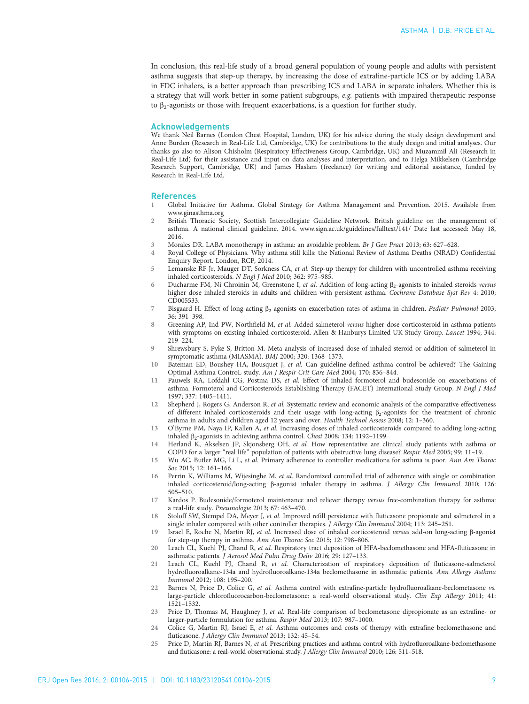<span id="page-8-0"></span>In conclusion, this real-life study of a broad general population of young people and adults with persistent asthma suggests that step-up therapy, by increasing the dose of extrafine-particle ICS or by adding LABA in FDC inhalers, is a better approach than prescribing ICS and LABA in separate inhalers. Whether this is a strategy that will work better in some patient subgroups, e.g. patients with impaired therapeutic response to β<sub>2</sub>-agonists or those with frequent exacerbations, is a question for further study.

#### Acknowledgements

We thank Neil Barnes (London Chest Hospital, London, UK) for his advice during the study design development and Anne Burden (Research in Real-Life Ltd, Cambridge, UK) for contributions to the study design and initial analyses. Our thanks go also to Alison Chisholm (Respiratory Effectiveness Group, Cambridge, UK) and Muzammil Ali (Research in Real-Life Ltd) for their assistance and input on data analyses and interpretation, and to Helga Mikkelsen (Cambridge Research Support, Cambridge, UK) and James Haslam (freelance) for writing and editorial assistance, funded by Research in Real-Life Ltd.

#### References

- 1 Global Initiative for Asthma. Global Strategy for Asthma Management and Prevention. 2015. Available from [www.ginasthma.org](http://www.ginasthma.org)
- 2 British Thoracic Society, Scottish Intercollegiate Guideline Network. British guideline on the management of asthma. A national clinical guideline. 2014. [www.sign.ac.uk/guidelines/fulltext/141/](http://www.sign.ac.uk/guidelines/fulltext/141/) Date last accessed: May 18, 2016.
- 3 Morales DR. LABA monotherapy in asthma: an avoidable problem. Br J Gen Pract 2013; 63: 627–628.
- 4 Royal College of Physicians. Why asthma still kills: the National Review of Asthma Deaths (NRAD) Confidential Enquiry Report. London, RCP, 2014.
- 5 Lemanske RF Jr, Mauger DT, Sorkness CA, et al. Step-up therapy for children with uncontrolled asthma receiving inhaled corticosteroids. N Engl J Med 2010; 362: 975–985.
- 6 Ducharme FM, Ni Chroinin M, Greenstone I, et al. Addition of long-acting β2-agonists to inhaled steroids versus higher dose inhaled steroids in adults and children with persistent asthma. Cochrane Database Syst Rev 4: 2010; CD005533.
- 7 Bisgaard H. Effect of long-acting β2-agonists on exacerbation rates of asthma in children. Pediatr Pulmonol 2003; 36: 391–398.
- 8 Greening AP, Ind PW, Northfield M, et al. Added salmeterol versus higher-dose corticosteroid in asthma patients with symptoms on existing inhaled corticosteroid. Allen & Hanburys Limited UK Study Group. Lancet 1994; 344: 219–224.
- 9 Shrewsbury S, Pyke S, Britton M. Meta-analysis of increased dose of inhaled steroid or addition of salmeterol in symptomatic asthma (MIASMA). BMJ 2000; 320: 1368–1373.
- 10 Bateman ED, Boushey HA, Bousquet J, et al. Can guideline-defined asthma control be achieved? The Gaining Optimal Asthma ControL study. Am J Respir Crit Care Med 2004; 170: 836–844.
- 11 Pauwels RA, Lofdahl CG, Postma DS, et al. Effect of inhaled formoterol and budesonide on exacerbations of asthma. Formoterol and Corticosteroids Establishing Therapy (FACET) International Study Group. N Engl J Med 1997; 337: 1405–1411.
- 12 Shepherd J, Rogers G, Anderson R, et al. Systematic review and economic analysis of the comparative effectiveness of different inhaled corticosteroids and their usage with long-acting β2-agonists for the treatment of chronic asthma in adults and children aged 12 years and over. Health Technol Assess 2008; 12: 1–360.
- 13 O'Byrne PM, Naya IP, Kallen A, et al. Increasing doses of inhaled corticosteroids compared to adding long-acting inhaled β<sub>2</sub>-agonists in achieving asthma control. Chest 2008; 134: 1192–1199.
- 14 Herland K, Akselsen JP, Skjonsberg OH, et al. How representative are clinical study patients with asthma or COPD for a larger "real life" population of patients with obstructive lung disease? Respir Med 2005; 99: 11–19.
- 15 Wu AC, Butler MG, Li L, et al. Primary adherence to controller medications for asthma is poor. Ann Am Thorac Soc 2015; 12: 161–166.
- Perrin K, Williams M, Wijesinghe M, et al. Randomized controlled trial of adherence with single or combination inhaled corticosteroid/long-acting β-agonist inhaler therapy in asthma. J Allergy Clin Immunol 2010; 126: 505–510.
- 17 Kardos P. Budesonide/formoterol maintenance and reliever therapy versus free-combination therapy for asthma: a real-life study. Pneumologie 2013; 67: 463–470.
- 18 Stoloff SW, Stempel DA, Meyer J, et al. Improved refill persistence with fluticasone propionate and salmeterol in a single inhaler compared with other controller therapies. J Allergy Clin Immunol 2004; 113: 245–251.
- 19 Israel E, Roche N, Martin RJ, et al. Increased dose of inhaled corticosteroid versus add-on long-acting β-agonist for step-up therapy in asthma. Ann Am Thorac Soc 2015; 12: 798–806.
- 20 Leach CL, Kuehl PJ, Chand R, et al. Respiratory tract deposition of HFA-beclomethasone and HFA-fluticasone in asthmatic patients. J Aerosol Med Pulm Drug Deliv 2016; 29: 127–133.
- 21 Leach CL, Kuehl PJ, Chand R, et al. Characterization of respiratory deposition of fluticasone-salmeterol hydrofluoroalkane-134a and hydrofluoroalkane-134a beclomethasone in asthmatic patients. Ann Allergy Asthma Immunol 2012; 108: 195–200.
- 22 Barnes N, Price D, Colice G, et al. Asthma control with extrafine-particle hydrofluoroalkane-beclometasone vs. large-particle chlorofluorocarbon-beclometasone: a real-world observational study. Clin Exp Allergy 2011; 41: 1521–1532.
- 23 Price D, Thomas M, Haughney J, et al. Real-life comparison of beclometasone dipropionate as an extrafine- or larger-particle formulation for asthma. Respir Med 2013; 107: 987–1000.
- 24 Colice G, Martin RJ, Israel E, et al. Asthma outcomes and costs of therapy with extrafine beclomethasone and fluticasone. J Allergy Clin Immunol 2013; 132: 45–54.
- 25 Price D, Martin RJ, Barnes N, et al. Prescribing practices and asthma control with hydrofluoroalkane-beclomethasone and fluticasone: a real-world observational study. J Allergy Clin Immunol 2010; 126: 511–518.